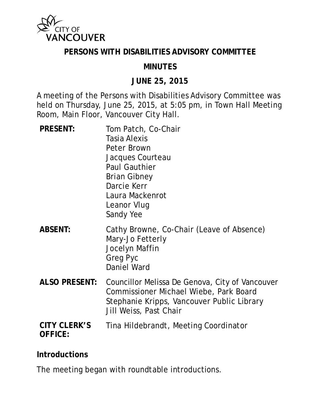

#### **PERSONS WITH DISABILITIES ADVISORY COMMITTEE**

### **MINUTES**

#### **JUNE 25, 2015**

A meeting of the Persons with Disabilities Advisory Committee was held on Thursday, June 25, 2015, at 5:05 pm, in Town Hall Meeting Room, Main Floor, Vancouver City Hall.

| <b>PRESENT:</b>                       | Tom Patch, Co-Chair<br><b>Tasia Alexis</b><br><b>Peter Brown</b><br>Jacques Courteau<br><b>Paul Gauthier</b><br><b>Brian Gibney</b><br>Darcie Kerr<br>Laura Mackenrot<br>Leanor Vlug<br>Sandy Yee |
|---------------------------------------|---------------------------------------------------------------------------------------------------------------------------------------------------------------------------------------------------|
| <b>ABSENT:</b>                        | Cathy Browne, Co-Chair (Leave of Absence)<br>Mary-Jo Fetterly<br>Jocelyn Maffin<br>Greg Pyc<br><b>Daniel Ward</b>                                                                                 |
| <b>ALSO PRESENT:</b>                  | Councillor Melissa De Genova, City of Vancouver<br>Commissioner Michael Wiebe, Park Board<br>Stephanie Kripps, Vancouver Public Library<br>Jill Weiss, Past Chair                                 |
| <b>CITY CLERK'S</b><br><b>OFFICE:</b> | Tina Hildebrandt, Meeting Coordinator                                                                                                                                                             |

#### **Introductions**

The meeting began with roundtable introductions.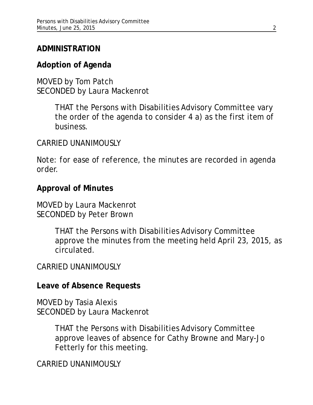## **ADMINISTRATION**

## **Adoption of Agenda**

MOVED by Tom Patch SECONDED by Laura Mackenrot

> THAT the Persons with Disabilities Advisory Committee vary the order of the agenda to consider 4 a) as the first item of business.

### CARRIED UNANIMOUSLY

*Note: for ease of reference, the minutes are recorded in agenda order.*

### **Approval of Minutes**

MOVED by Laura Mackenrot SECONDED by Peter Brown

> THAT the Persons with Disabilities Advisory Committee approve the minutes from the meeting held April 23, 2015, as circulated.

### CARRIED UNANIMOUSLY

#### **Leave of Absence Requests**

MOVED by Tasia Alexis SECONDED by Laura Mackenrot

> THAT the Persons with Disabilities Advisory Committee approve leaves of absence for Cathy Browne and Mary-Jo Fetterly for this meeting.

CARRIED UNANIMOUSLY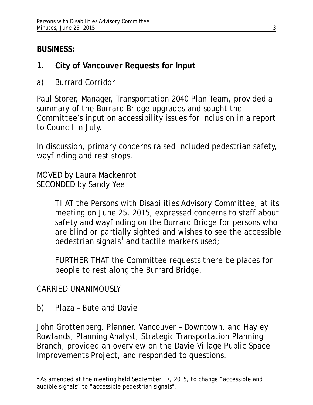# **BUSINESS:**

- **1. City of Vancouver Requests for Input**
- a) Burrard Corridor

Paul Storer, Manager, Transportation 2040 Plan Team, provided a summary of the Burrard Bridge upgrades and sought the Committee's input on accessibility issues for inclusion in a report to Council in July.

In discussion, primary concerns raised included pedestrian safety, wayfinding and rest stops.

MOVED by Laura Mackenrot SECONDED by Sandy Yee

> THAT the Persons with Disabilities Advisory Committee, at its meeting on June 25, 2015, expressed concerns to staff about safety and wayfinding on the Burrard Bridge for persons who are blind or partially sighted and wishes to see the accessible pedestrian signals<sup>[1](#page-2-0)</sup> and tactile markers used;

FURTHER THAT the Committee requests there be places for people to rest along the Burrard Bridge.

CARRIED UNANIMOUSLY

b) Plaza – Bute and Davie

John Grottenberg, Planner, Vancouver – Downtown, and Hayley Rowlands, Planning Analyst, Strategic Transportation Planning Branch, provided an overview on the Davie Village Public Space Improvements Project, and responded to questions.

<span id="page-2-0"></span> $1$  As amended at the meeting held September 17, 2015, to change "accessible and audible signals" to "accessible pedestrian signals".  $\overline{a}$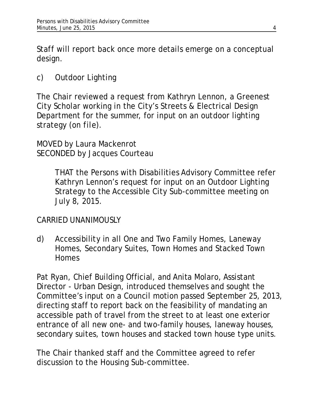Staff will report back once more details emerge on a conceptual design.

c) Outdoor Lighting

The Chair reviewed a request from Kathryn Lennon, a Greenest City Scholar working in the City's Streets & Electrical Design Department for the summer, for input on an outdoor lighting strategy *(on file)*.

MOVED by Laura Mackenrot SECONDED by Jacques Courteau

> THAT the Persons with Disabilities Advisory Committee refer Kathryn Lennon's request for input on an Outdoor Lighting Strategy to the Accessible City Sub-committee meeting on July 8, 2015.

## CARRIED UNANIMOUSLY

d) Accessibility in all One and Two Family Homes, Laneway Homes, Secondary Suites, Town Homes and Stacked Town **Homes** 

Pat Ryan, Chief Building Official, and Anita Molaro, Assistant Director - Urban Design, introduced themselves and sought the Committee's input on a Council motion passed September 25, 2013, directing staff to report back on the feasibility of mandating an accessible path of travel from the street to at least one exterior entrance of all new one- and two-family houses, laneway houses, secondary suites, town houses and stacked town house type units.

The Chair thanked staff and the Committee agreed to refer discussion to the Housing Sub-committee.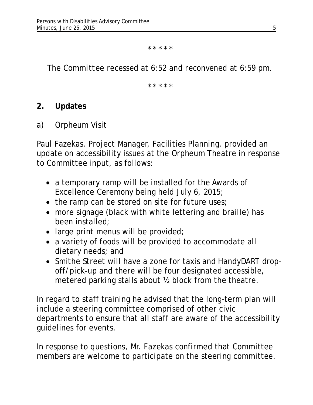\* \* \* \* \*

*The Committee recessed at 6:52 and reconvened at 6:59 pm.*

\* \* \* \* \*

### **2. Updates**

a) Orpheum Visit

Paul Fazekas, Project Manager, Facilities Planning, provided an update on accessibility issues at the Orpheum Theatre in response to Committee input, as follows:

- a temporary ramp will be installed for the Awards of Excellence Ceremony being held July 6, 2015;
- the ramp can be stored on site for future uses;
- more signage (black with white lettering and braille) has been installed;
- large print menus will be provided;
- a variety of foods will be provided to accommodate all dietary needs; and
- Smithe Street will have a zone for taxis and HandyDART dropoff/pick-up and there will be four designated accessible, metered parking stalls about ½ block from the theatre.

In regard to staff training he advised that the long-term plan will include a steering committee comprised of other civic departments to ensure that all staff are aware of the accessibility guidelines for events.

In response to questions, Mr. Fazekas confirmed that Committee members are welcome to participate on the steering committee.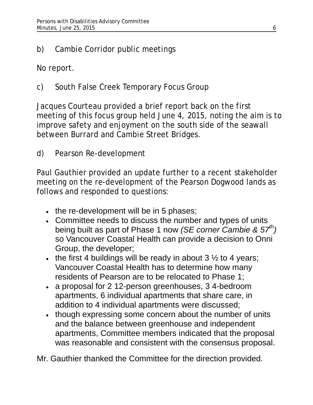# b) Cambie Corridor public meetings

No report.

# c) South False Creek Temporary Focus Group

Jacques Courteau provided a brief report back on the first meeting of this focus group held June 4, 2015, noting the aim is to improve safety and enjoyment on the south side of the seawall between Burrard and Cambie Street Bridges.

d) Pearson Re-development

Paul Gauthier provided an update further to a recent stakeholder meeting on the re-development of the Pearson Dogwood lands as follows and responded to questions:

- the re-development will be in 5 phases;
- Committee needs to discuss the number and types of units being built as part of Phase 1 now *(SE corner Cambie & 57th)* so Vancouver Coastal Health can provide a decision to Onni Group, the developer;
- the first 4 buildings will be ready in about  $3\frac{1}{2}$  to 4 years; Vancouver Coastal Health has to determine how many residents of Pearson are to be relocated to Phase 1;
- a proposal for 2 12-person greenhouses, 3 4-bedroom apartments, 6 individual apartments that share care, in addition to 4 individual apartments were discussed;
- though expressing some concern about the number of units and the balance between greenhouse and independent apartments, Committee members indicated that the proposal was reasonable and consistent with the consensus proposal.

Mr. Gauthier thanked the Committee for the direction provided.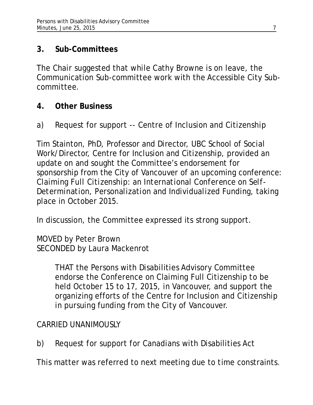# **3. Sub-Committees**

The Chair suggested that while Cathy Browne is on leave, the Communication Sub-committee work with the Accessible City Subcommittee.

# **4. Other Business**

a) Request for support -- Centre of Inclusion and Citizenship

Tim Stainton, PhD, Professor and Director, UBC School of Social Work/Director, Centre for Inclusion and Citizenship, provided an update on and sought the Committee's endorsement for sponsorship from the City of Vancouver of an upcoming conference: *Claiming Full Citizenship: an International Conference on Self-Determination, Personalization and Individualized Funding*, taking place in October 2015.

In discussion, the Committee expressed its strong support.

MOVED by Peter Brown SECONDED by Laura Mackenrot

> THAT the Persons with Disabilities Advisory Committee endorse the Conference on Claiming Full Citizenship to be held October 15 to 17, 2015, in Vancouver, and support the organizing efforts of the Centre for Inclusion and Citizenship in pursuing funding from the City of Vancouver.

# CARRIED UNANIMOUSLY

b) Request for support for Canadians with Disabilities Act

This matter was referred to next meeting due to time constraints.